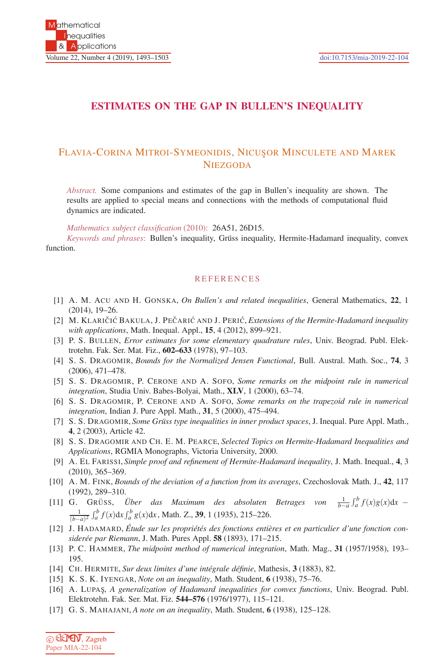## **ESTIMATES ON THE GAP IN BULLEN'S INEQUALITY**

## FLAVIA-CORINA MITROI-SYMEONIDIS, NICUSOR MINCULETE AND MAREK **NIEZGODA**

*Abstract.* Some companions and estimates of the gap in Bullen's inequality are shown. The results are applied to special means and connections with the methods of computational fluid dynamics are indicated.

*Mathematics subject classification* (2010): 26A51, 26D15.

*Keywords and phrases*: Bullen's inequality, Grüss inequality, Hermite-Hadamard inequality, convex function.

## **REFERENCES**

- [1] A. M. ACU AND H. GONSKA, *On Bullen's and related inequalities*, General Mathematics, **22**, 1 (2014), 19–26.
- [2] M. KLARIČIĆ BAKULA, J. PEČARIĆ AND J. PERIĆ, *Extensions of the Hermite-Hadamard inequality with applications*, Math. Inequal. Appl., **15**, 4 (2012), 899–921.
- [3] P. S. BULLEN, *Error estimates for some elementary quadrature rules*, Univ. Beograd. Publ. Elektrotehn. Fak. Ser. Mat. Fiz., **602–633** (1978), 97–103.
- [4] S. S. DRAGOMIR, *Bounds for the Normalized Jensen Functional*, Bull. Austral. Math. Soc., **74**, 3 (2006), 471–478.
- [5] S. S. DRAGOMIR, P. CERONE AND A. SOFO, *Some remarks on the midpoint rule in numerical integration*, Studia Univ. Babes-Bolyai, Math., **XLV**, 1 (2000), 63–74.
- [6] S. S. DRAGOMIR, P. CERONE AND A. SOFO, *Some remarks on the trapezoid rule in numerical integration*, Indian J. Pure Appl. Math., **31**, 5 (2000), 475–494.
- [7] S. S. DRAGOMIR, *Some Grüss type inequalities in inner product spaces*, J. Inequal. Pure Appl. Math., **4**, 2 (2003), Article 42.
- [8] S. S. DRAGOMIR AND CH. E. M. PEARCE, *Selected Topics on Hermite-Hadamard Inequalities and Applications*, RGMIA Monographs, Victoria University, 2000.
- [9] A. EL FARISSI, *Simple proof and refinement of Hermite-Hadamard inequality*, J. Math. Inequal., **4**, 3 (2010), 365–369.
- [10] A. M. FINK, *Bounds of the deviation of a function from its averages*, Czechoslovak Math. J., **42**, 117 (1992), 289–310.
- $[11]$  G. GRUSS, *Über das Maximum des absoluten Betrages von*  $\frac{1}{b-a} \int_a^b f(x)g(x)dx$  *−*  $\frac{1}{(b-a)^2}$   $\int_a^b f(x) dx \int_a^b g(x) dx$ , Math. Z., **39**, 1 (1935), 215–226.
- [12] J. HADAMARD, Étude sur les propriétés des fonctions entières et en particulier d'une fonction con*sider´ee par Riemann*, J. Math. Pures Appl. **58** (1893), 171–215.
- [13] P. C. HAMMER, *The midpoint method of numerical integration*, Math. Mag., **31** (1957/1958), 193– 195.
- [14] CH. HERMITE, *Sur deux limites d'une int´egrale d´efinie*, Mathesis, **3** (1883), 82.
- [15] K. S. K. IYENGAR, *Note on an inequality*, Math. Student, **6** (1938), 75–76.
- [16] A. LUPAS¸, *A generalization of Hadamard inequalities for convex functions*, Univ. Beograd. Publ. Elektrotehn. Fak. Ser. Mat. Fiz. **544–576** (1976/1977), 115–121.
- [17] G. S. MAHAJANI, *A note on an inequality*, Math. Student, **6** (1938), 125–128.